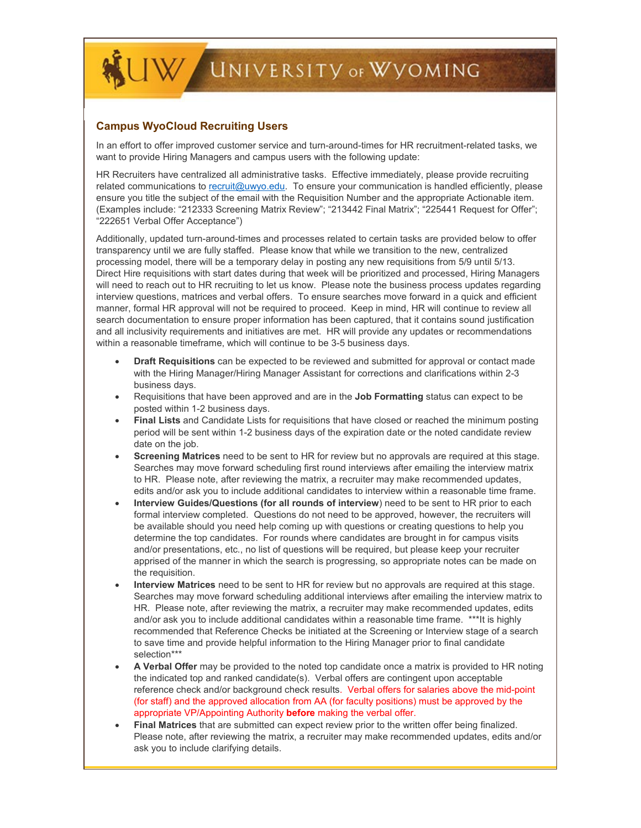

## **Campus WyoCloud Recruiting Users**

In an effort to offer improved customer service and turn-around-times for HR recruitment-related tasks, we want to provide Hiring Managers and campus users with the following update:

HR Recruiters have centralized all administrative tasks. Effective immediately, please provide recruiting related communications t[o recruit@uwyo.edu.](mailto:recruit@uwyo.edu) To ensure your communication is handled efficiently, please ensure you title the subject of the email with the Requisition Number and the appropriate Actionable item. (Examples include: "212333 Screening Matrix Review"; "213442 Final Matrix"; "225441 Request for Offer"; "222651 Verbal Offer Acceptance")

Additionally, updated turn-around-times and processes related to certain tasks are provided below to offer transparency until we are fully staffed. Please know that while we transition to the new, centralized processing model, there will be a temporary delay in posting any new requisitions from 5/9 until 5/13. Direct Hire requisitions with start dates during that week will be prioritized and processed, Hiring Managers will need to reach out to HR recruiting to let us know. Please note the business process updates regarding interview questions, matrices and verbal offers. To ensure searches move forward in a quick and efficient manner, formal HR approval will not be required to proceed. Keep in mind, HR will continue to review all search documentation to ensure proper information has been captured, that it contains sound justification and all inclusivity requirements and initiatives are met. HR will provide any updates or recommendations within a reasonable timeframe, which will continue to be 3-5 business days.

- **Draft Requisitions** can be expected to be reviewed and submitted for approval or contact made with the Hiring Manager/Hiring Manager Assistant for corrections and clarifications within 2-3 business days.
- Requisitions that have been approved and are in the **Job Formatting** status can expect to be posted within 1-2 business days.
- **Final Lists** and Candidate Lists for requisitions that have closed or reached the minimum posting period will be sent within 1-2 business days of the expiration date or the noted candidate review date on the job.
- **Screening Matrices** need to be sent to HR for review but no approvals are required at this stage. Searches may move forward scheduling first round interviews after emailing the interview matrix to HR. Please note, after reviewing the matrix, a recruiter may make recommended updates, edits and/or ask you to include additional candidates to interview within a reasonable time frame.
- **Interview Guides/Questions (for all rounds of interview**) need to be sent to HR prior to each formal interview completed. Questions do not need to be approved, however, the recruiters will be available should you need help coming up with questions or creating questions to help you determine the top candidates. For rounds where candidates are brought in for campus visits and/or presentations, etc., no list of questions will be required, but please keep your recruiter apprised of the manner in which the search is progressing, so appropriate notes can be made on the requisition.
- **Interview Matrices** need to be sent to HR for review but no approvals are required at this stage. Searches may move forward scheduling additional interviews after emailing the interview matrix to HR. Please note, after reviewing the matrix, a recruiter may make recommended updates, edits and/or ask you to include additional candidates within a reasonable time frame. \*\*\*It is highly recommended that Reference Checks be initiated at the Screening or Interview stage of a search to save time and provide helpful information to the Hiring Manager prior to final candidate selection\*\*\*
- **A Verbal Offer** may be provided to the noted top candidate once a matrix is provided to HR noting the indicated top and ranked candidate(s). Verbal offers are contingent upon acceptable reference check and/or background check results. Verbal offers for salaries above the mid-point (for staff) and the approved allocation from AA (for faculty positions) must be approved by the appropriate VP/Appointing Authority **before** making the verbal offer.
- **Final Matrices** that are submitted can expect review prior to the written offer being finalized. Please note, after reviewing the matrix, a recruiter may make recommended updates, edits and/or ask you to include clarifying details.